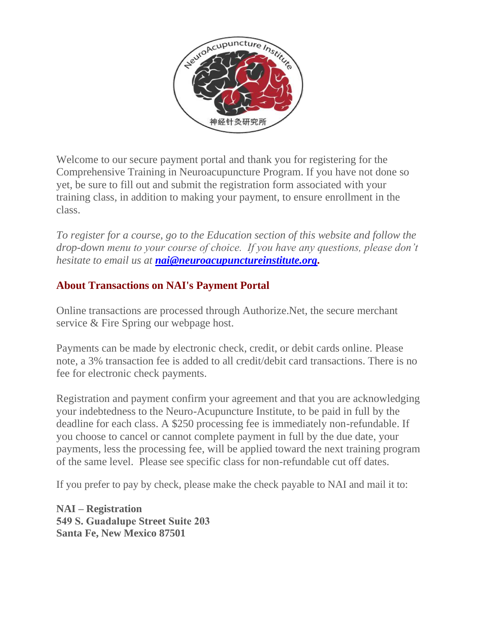

Welcome to our secure payment portal and thank you for registering for the Comprehensive Training in Neuroacupuncture Program. If you have not done so yet, be sure to fill out and submit the registration form associated with your training class, in addition to making your payment, to ensure enrollment in the class.

*To register for a course, go to the Education section of this website and follow the drop-down menu to your course of choice. If you have any questions, please don't hesitate to email us at [nai@neuroacupunctureinstitute.org.](mailto:nai@neuroacupunctureinstitute.org)* 

## **About Transactions on NAI's Payment Portal**

Online transactions are processed through Authorize.Net, the secure merchant service & Fire Spring our webpage host.

Payments can be made by electronic check, credit, or debit cards online. Please note, a 3% transaction fee is added to all credit/debit card transactions. There is no fee for electronic check payments.

Registration and payment confirm your agreement and that you are acknowledging your indebtedness to the Neuro-Acupuncture Institute, to be paid in full by the deadline for each class. A \$250 processing fee is immediately non-refundable. If you choose to cancel or cannot complete payment in full by the due date, your payments, less the processing fee, will be applied toward the next training program of the same level. Please see specific class for non-refundable cut off dates.

If you prefer to pay by check, please make the check payable to NAI and mail it to:

**NAI – Registration 549 S. Guadalupe Street Suite 203 Santa Fe, New Mexico 87501**